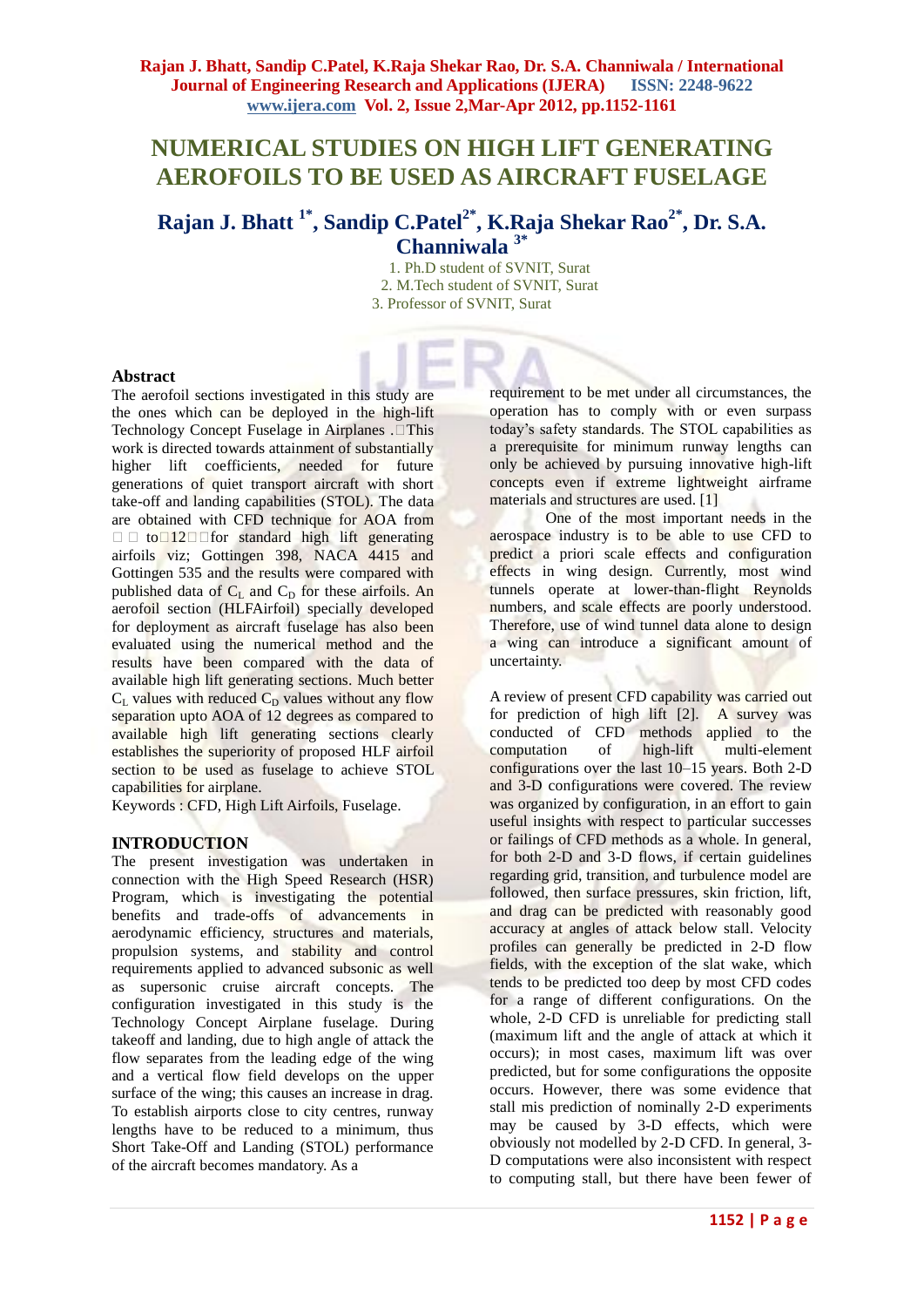# **NUMERICAL STUDIES ON HIGH LIFT GENERATING AEROFOILS TO BE USED AS AIRCRAFT FUSELAGE**

**Rajan J. Bhatt 1\*, Sandip C.Patel2\* , K.Raja Shekar Rao2\* , Dr. S.A. Channiwala 3\***

> 1. Ph.D student of SVNIT, Surat 2. M.Tech student of SVNIT, Surat 3. Professor of SVNIT, Surat

#### **Abstract**

The aerofoil sections investigated in this study are the ones which can be deployed in the high-lift Technology Concept Fuselage in Airplanes . $\Box$ This work is directed towards attainment of substantially higher lift coefficients, needed for future generations of quiet transport aircraft with short take-off and landing capabilities (STOL). The data are obtained with CFD technique for AOA from  $\Box$  to  $\Box$ 12 $\Box$  for standard high lift generating airfoils viz; Gottingen 398, NACA 4415 and Gottingen 535 and the results were compared with published data of  $C_{\text{L}}$  and  $C_{\text{D}}$  for these airfoils. An aerofoil section (HLFAirfoil) specially developed for deployment as aircraft fuselage has also been evaluated using the numerical method and the results have been compared with the data of available high lift generating sections. Much better  $C_L$  values with reduced  $C_D$  values without any flow separation upto AOA of 12 degrees as compared to available high lift generating sections clearly establishes the superiority of proposed HLF airfoil section to be used as fuselage to achieve STOL capabilities for airplane.

Keywords : CFD, High Lift Airfoils, Fuselage.

#### **INTRODUCTION**

The present investigation was undertaken in connection with the High Speed Research (HSR) Program, which is investigating the potential benefits and trade-offs of advancements in aerodynamic efficiency, structures and materials, propulsion systems, and stability and control requirements applied to advanced subsonic as well as supersonic cruise aircraft concepts. The configuration investigated in this study is the Technology Concept Airplane fuselage. During takeoff and landing, due to high angle of attack the flow separates from the leading edge of the wing and a vertical flow field develops on the upper surface of the wing; this causes an increase in drag. To establish airports close to city centres, runway lengths have to be reduced to a minimum, thus Short Take-Off and Landing (STOL) performance of the aircraft becomes mandatory. As a

requirement to be met under all circumstances, the operation has to comply with or even surpass today's safety standards. The STOL capabilities as a prerequisite for minimum runway lengths can only be achieved by pursuing innovative high-lift concepts even if extreme lightweight airframe materials and structures are used. [1]

One of the most important needs in the aerospace industry is to be able to use CFD to predict a priori scale effects and configuration effects in wing design. Currently, most wind tunnels operate at lower-than-flight Reynolds numbers, and scale effects are poorly understood. Therefore, use of wind tunnel data alone to design a wing can introduce a significant amount of uncertainty.

A review of present CFD capability was carried out for prediction of high lift [2]. A survey was conducted of CFD methods applied to the computation of high-lift multi-element configurations over the last 10–15 years. Both 2-D and 3-D configurations were covered. The review was organized by configuration, in an effort to gain useful insights with respect to particular successes or failings of CFD methods as a whole. In general, for both 2-D and 3-D flows, if certain guidelines regarding grid, transition, and turbulence model are followed, then surface pressures, skin friction, lift, and drag can be predicted with reasonably good accuracy at angles of attack below stall. Velocity profiles can generally be predicted in 2-D flow fields, with the exception of the slat wake, which tends to be predicted too deep by most CFD codes for a range of different configurations. On the whole, 2-D CFD is unreliable for predicting stall (maximum lift and the angle of attack at which it occurs); in most cases, maximum lift was over predicted, but for some configurations the opposite occurs. However, there was some evidence that stall mis prediction of nominally 2-D experiments may be caused by 3-D effects, which were obviously not modelled by 2-D CFD. In general, 3- D computations were also inconsistent with respect to computing stall, but there have been fewer of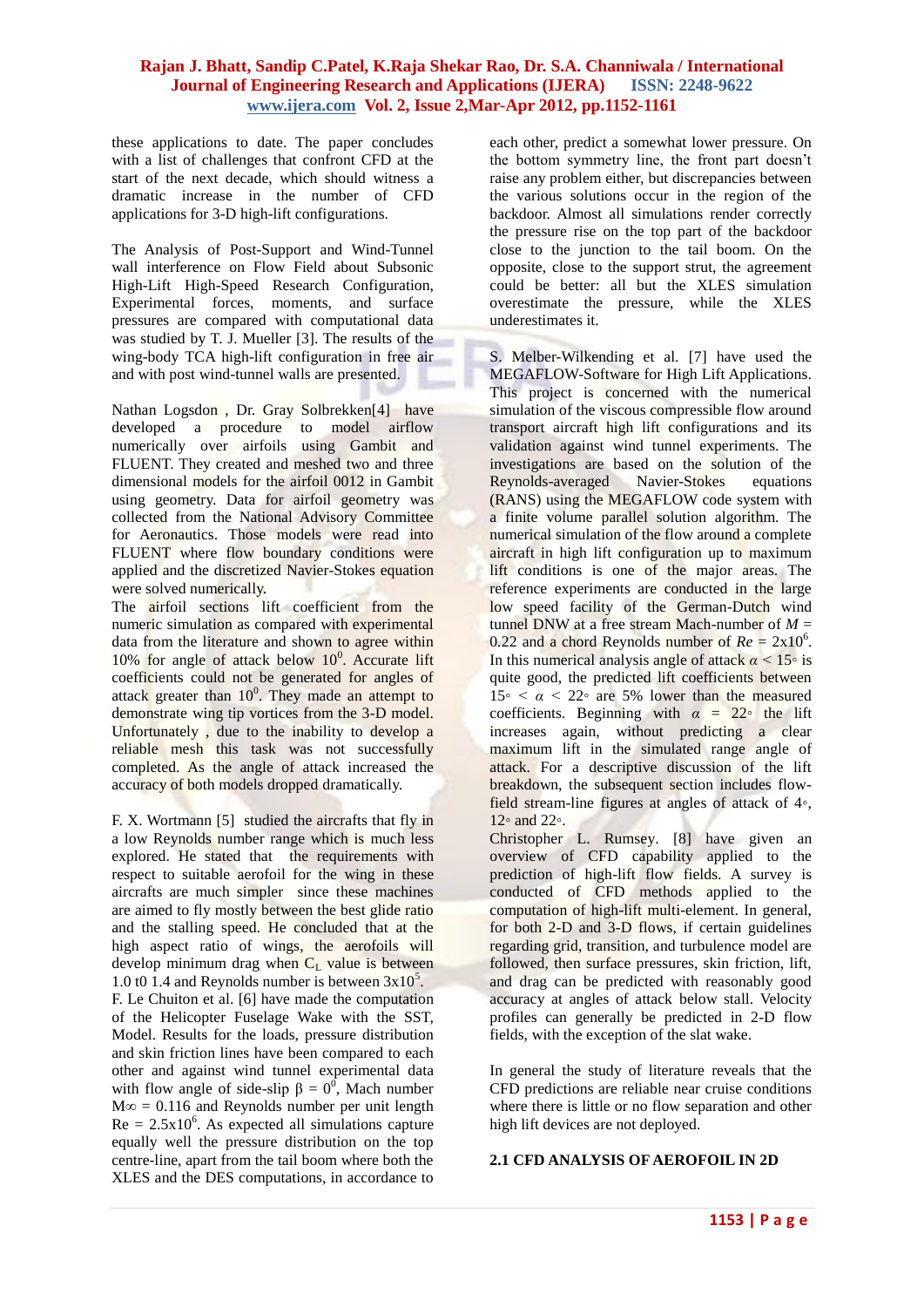these applications to date. The paper concludes with a list of challenges that confront CFD at the start of the next decade, which should witness a dramatic increase in the number of CFD applications for 3-D high-lift configurations.

The Analysis of Post-Support and Wind-Tunnel wall interference on Flow Field about Subsonic High-Lift High-Speed Research Configuration, Experimental forces, moments, and surface pressures are compared with computational data was studied by T. J. Mueller [3]. The results of the wing-body TCA high-lift configuration in free air and with post wind-tunnel walls are presented.

Nathan Logsdon , Dr. Gray Solbrekken[4]have developed a procedure to model airflow numerically over airfoils using Gambit and FLUENT. They created and meshed two and three dimensional models for the airfoil 0012 in Gambit using geometry. Data for airfoil geometry was collected from the National Advisory Committee for Aeronautics. Those models were read into FLUENT where flow boundary conditions were applied and the discretized Navier-Stokes equation were solved numerically.

The airfoil sections lift coefficient from the numeric simulation as compared with experimental data from the literature and shown to agree within  $10\%$  for angle of attack below  $10^0$ . Accurate lift coefficients could not be generated for angles of attack greater than  $10^0$ . They made an attempt to demonstrate wing tip vortices from the 3-D model. Unfortunately , due to the inability to develop a reliable mesh this task was not successfully completed. As the angle of attack increased the accuracy of both models dropped dramatically.

F. X. Wortmann [5] studied the aircrafts that fly in a low Reynolds number range which is much less explored. He stated that the requirements with respect to suitable aerofoil for the wing in these aircrafts are much simpler since these machines are aimed to fly mostly between the best glide ratio and the stalling speed. He concluded that at the high aspect ratio of wings, the aerofoils will develop minimum drag when  $C<sub>L</sub>$  value is between 1.0 t0 1.4 and Reynolds number is between  $3x10^5$ . F. Le Chuiton et al. [6] have made the computation of the Helicopter Fuselage Wake with the SST, Model. Results for the loads, pressure distribution and skin friction lines have been compared to each other and against wind tunnel experimental data with flow angle of side-slip  $\beta = 0^0$ , Mach number  $M\infty = 0.116$  and Reynolds number per unit length  $Re = 2.5x10<sup>6</sup>$ . As expected all simulations capture equally well the pressure distribution on the top centre-line, apart from the tail boom where both the XLES and the DES computations, in accordance to

each other, predict a somewhat lower pressure. On the bottom symmetry line, the front part doesn't raise any problem either, but discrepancies between the various solutions occur in the region of the backdoor. Almost all simulations render correctly the pressure rise on the top part of the backdoor close to the junction to the tail boom. On the opposite, close to the support strut, the agreement could be better: all but the XLES simulation overestimate the pressure, while the XLES underestimates it.

S. Melber-Wilkending et al. [7] have used the MEGAFLOW-Software for High Lift Applications. This project is concerned with the numerical simulation of the viscous compressible flow around transport aircraft high lift configurations and its validation against wind tunnel experiments. The investigations are based on the solution of the Reynolds-averaged Navier-Stokes equations (RANS) using the MEGAFLOW code system with a finite volume parallel solution algorithm. The numerical simulation of the flow around a complete aircraft in high lift configuration up to maximum lift conditions is one of the major areas. The reference experiments are conducted in the large low speed facility of the German-Dutch wind tunnel DNW at a free stream Mach-number of  $M =$  $0.22$  and a chord Reynolds number of  $Re = 2x10^6$ . In this numerical analysis angle of attack  $\alpha$  < 15<sup>°</sup> is quite good, the predicted lift coefficients between  $15\degree < \alpha < 22\degree$  are 5% lower than the measured coefficients. Beginning with  $\alpha = 22^\circ$  the lift increases again, without predicting a clear maximum lift in the simulated range angle of attack. For a descriptive discussion of the lift breakdown, the subsequent section includes flowfield stream-line figures at angles of attack of 4*◦*, 12*◦* and 22*◦*.

Christopher L. Rumsey. [8] have given an overview of CFD capability applied to the prediction of high-lift flow fields. A survey is conducted of CFD methods applied to the computation of high-lift multi-element. In general, for both 2-D and 3-D flows, if certain guidelines regarding grid, transition, and turbulence model are followed, then surface pressures, skin friction, lift, and drag can be predicted with reasonably good accuracy at angles of attack below stall. Velocity profiles can generally be predicted in 2-D flow fields, with the exception of the slat wake.

In general the study of literature reveals that the CFD predictions are reliable near cruise conditions where there is little or no flow separation and other high lift devices are not deployed.

#### **2.1 CFD ANALYSIS OF AEROFOIL IN 2D**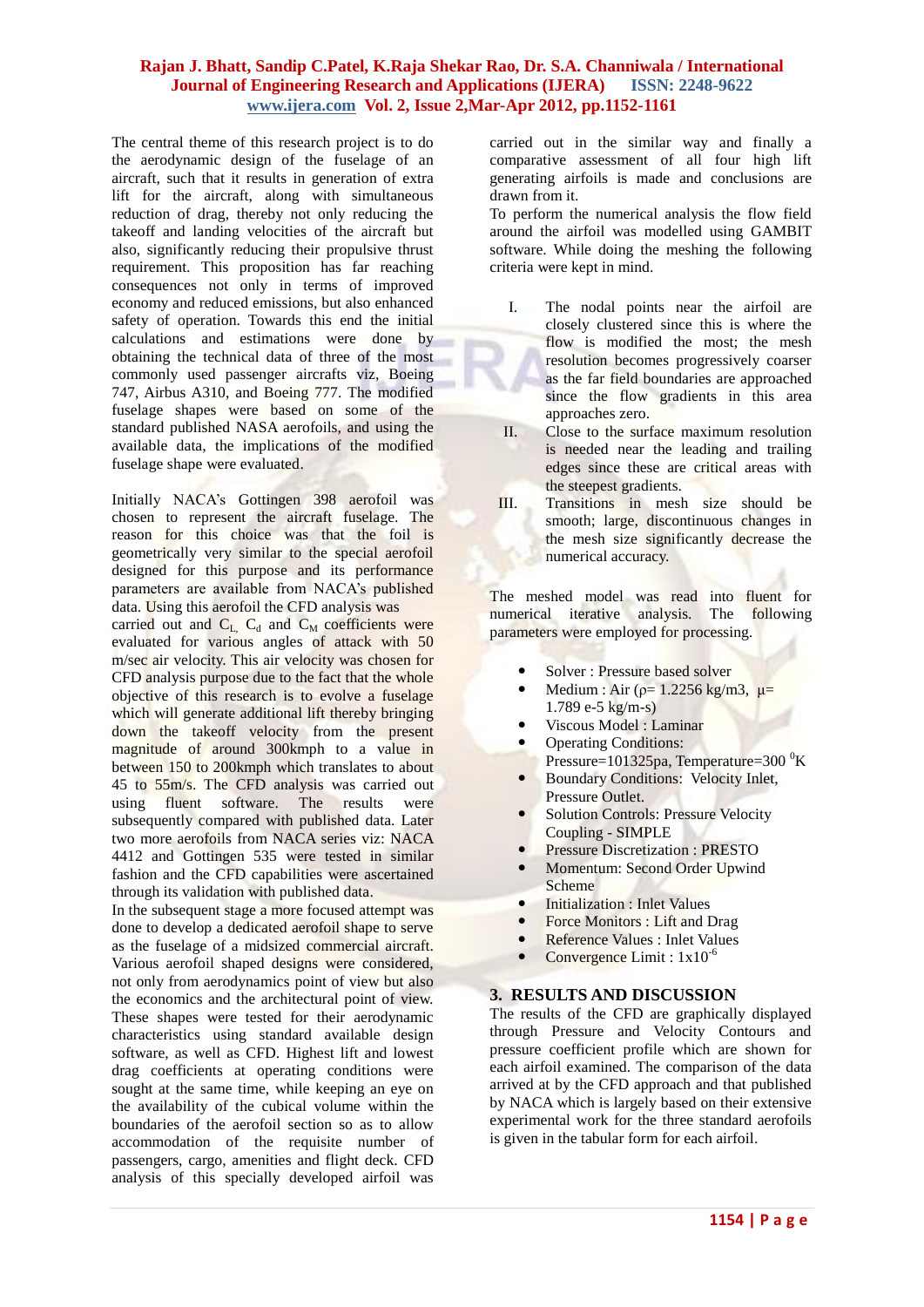The central theme of this research project is to do the aerodynamic design of the fuselage of an aircraft, such that it results in generation of extra lift for the aircraft, along with simultaneous reduction of drag, thereby not only reducing the takeoff and landing velocities of the aircraft but also, significantly reducing their propulsive thrust requirement. This proposition has far reaching consequences not only in terms of improved economy and reduced emissions, but also enhanced safety of operation. Towards this end the initial calculations and estimations were done by obtaining the technical data of three of the most commonly used passenger aircrafts viz, Boeing 747, Airbus A310, and Boeing 777. The modified fuselage shapes were based on some of the standard published NASA aerofoils, and using the available data, the implications of the modified fuselage shape were evaluated.

Initially NACA's Gottingen 398 aerofoil was chosen to represent the aircraft fuselage. The reason for this choice was that the foil is geometrically very similar to the special aerofoil designed for this purpose and its performance parameters are available from NACA's published data. Using this aerofoil the CFD analysis was carried out and  $C_{L}$ ,  $C_{d}$  and  $C_{M}$  coefficients were evaluated for various angles of attack with 50 m/sec air velocity. This air velocity was chosen for CFD analysis purpose due to the fact that the whole objective of this research is to evolve a fuselage which will generate additional lift thereby bringing down the takeoff velocity from the present magnitude of around 300kmph to a value in between 150 to 200kmph which translates to about 45 to 55m/s. The CFD analysis was carried out using fluent software. The results were subsequently compared with published data. Later two more aerofoils from NACA series viz: NACA 4412 and Gottingen 535 were tested in similar fashion and the CFD capabilities were ascertained through its validation with published data.

In the subsequent stage a more focused attempt was done to develop a dedicated aerofoil shape to serve as the fuselage of a midsized commercial aircraft. Various aerofoil shaped designs were considered, not only from aerodynamics point of view but also the economics and the architectural point of view. These shapes were tested for their aerodynamic characteristics using standard available design software, as well as CFD. Highest lift and lowest drag coefficients at operating conditions were sought at the same time, while keeping an eye on the availability of the cubical volume within the boundaries of the aerofoil section so as to allow accommodation of the requisite number of passengers, cargo, amenities and flight deck. CFD analysis of this specially developed airfoil was

carried out in the similar way and finally a comparative assessment of all four high lift generating airfoils is made and conclusions are drawn from it.

To perform the numerical analysis the flow field around the airfoil was modelled using GAMBIT software. While doing the meshing the following criteria were kept in mind.

- I. The nodal points near the airfoil are closely clustered since this is where the flow is modified the most; the mesh resolution becomes progressively coarser as the far field boundaries are approached since the flow gradients in this area approaches zero.
- II. Close to the surface maximum resolution is needed near the leading and trailing edges since these are critical areas with the steepest gradients.
- III. Transitions in mesh size should be smooth; large, discontinuous changes in the mesh size significantly decrease the numerical accuracy.

The meshed model was read into fluent for numerical iterative analysis. The following parameters were employed for processing.

- Solver : Pressure based solver
- Medium : Air ( $p=1.2256$  kg/m3,  $\mu=$ 1.789 e-5 kg/m-s)
- Viscous Model : Laminar
- Operating Conditions:
- Pressure= $101325$ pa, Temperature= $300 \text{ }^{0}$ K Boundary Conditions: Velocity Inlet,
- Pressure Outlet.
- Solution Controls: Pressure Velocity Coupling - SIMPLE
- Pressure Discretization : PRESTO
- Momentum: Second Order Upwind Scheme
- Initialization : Inlet Values
- Force Monitors : Lift and Drag
- Reference Values : Inlet Values
- Convergence Limit :  $1x10^{-6}$

## **3. RESULTS AND DISCUSSION**

The results of the CFD are graphically displayed through Pressure and Velocity Contours and pressure coefficient profile which are shown for each airfoil examined. The comparison of the data arrived at by the CFD approach and that published by NACA which is largely based on their extensive experimental work for the three standard aerofoils is given in the tabular form for each airfoil.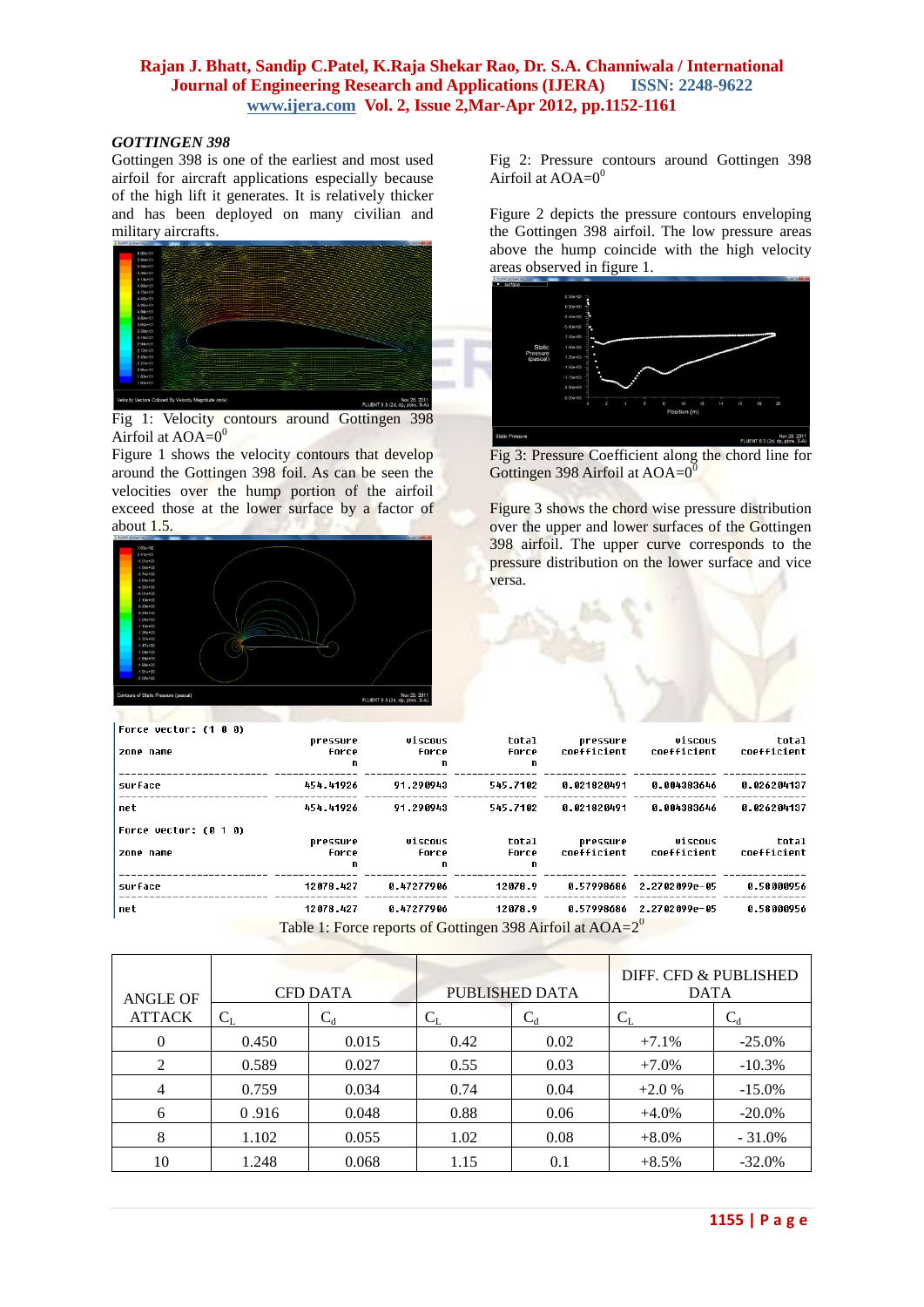#### *GOTTINGEN 398*

Gottingen 398 is one of the earliest and most used airfoil for aircraft applications especially because of the high lift it generates. It is relatively thicker and has been deployed on many civilian and military aircrafts.



Fig 1: Velocity contours around Gottingen 398 Airfoil at  $AOA=0<sup>0</sup>$ 

Figure 1 shows the velocity contours that develop around the Gottingen 398 foil. As can be seen the velocities over the hump portion of the airfoil exceed those at the lower surface by a factor of about 1.5.



Fig 2: Pressure contours around Gottingen 398 Airfoil at  $AOA=0^0$ 

Figure 2 depicts the pressure contours enveloping the Gottingen 398 airfoil. The low pressure areas above the hump coincide with the high velocity areas observed in figure 1.



Fig 3: Pressure Coefficient along the chord line for Gottingen 398 Airfoil at  $AOA=0$ <sup>0</sup>

Figure 3 shows the chord wise pressure distribution over the upper and lower surfaces of the Gottingen 398 airfoil. The upper curve corresponds to the pressure distribution on the lower surface and vice versa.

| Force vector: (1 0 0) |                   |                                                              |                |                         |                          |                      |
|-----------------------|-------------------|--------------------------------------------------------------|----------------|-------------------------|--------------------------|----------------------|
| zone name             | pressure<br>force | viscous<br>force                                             | total<br>force | pressure<br>coefficient | viscous<br>coefficient   | total<br>coefficient |
|                       | n                 | n.                                                           | n              |                         |                          |                      |
| surface               | 454.41926         | 91.290943                                                    | 545.7102       | 8.821820491             | 8.004383646              | 0.026204137          |
| net                   | 454.41926         | 91.290943                                                    | 545.7102       | 0.021820491             | 0.004383646              | 0.026204137          |
| Force vector: (0 1 0) |                   |                                                              |                |                         |                          |                      |
|                       | pressure          | viscous                                                      | total          | pressure                | viscous                  | total                |
| zone name             | force             | force                                                        | force          | coefficient             | coefficient              | coefficient          |
|                       | n.                | n.                                                           | n              |                         |                          |                      |
| surface               | 12078.427         | 8.47277986                                                   | 12078.9        |                         | 0.57998686 2.2702099e-05 | 0.58000956           |
| net                   | 12078.427         | 0.47277906                                                   | 12078.9        |                         | 0.57998686 2.2702099e-05 | 0.58000956           |
|                       |                   | Table 1: Force reports of Gottingen 398 Airfoil at $AOA=2^0$ |                |                         |                          |                      |

| <b>CFD DATA</b><br><b>ANGLE OF</b> |         |                | PUBLISHED DATA | DIFF. CFD & PUBLISHED<br><b>DATA</b> |          |           |
|------------------------------------|---------|----------------|----------------|--------------------------------------|----------|-----------|
| <b>ATTACK</b>                      | $C_{L}$ | $\mathrm{C_d}$ | $\rm C_I$      | $C_d$                                | $C_{L}$  | $C_d$     |
| $\Omega$                           | 0.450   | 0.015          | 0.42           | 0.02                                 | $+7.1\%$ | $-25.0\%$ |
| $\mathcal{D}_{\mathcal{L}}$        | 0.589   | 0.027          | 0.55           | 0.03                                 | $+7.0\%$ | $-10.3%$  |
| 4                                  | 0.759   | 0.034          | 0.74           | 0.04                                 | $+2.0%$  | $-15.0%$  |
| 6                                  | 0.916   | 0.048          | 0.88           | 0.06                                 | $+4.0\%$ | $-20.0\%$ |
| 8                                  | 1.102   | 0.055          | 1.02           | 0.08                                 | $+8.0\%$ | $-31.0\%$ |
| 10                                 | 1.248   | 0.068          | 1.15           | 0.1                                  | $+8.5%$  | $-32.0%$  |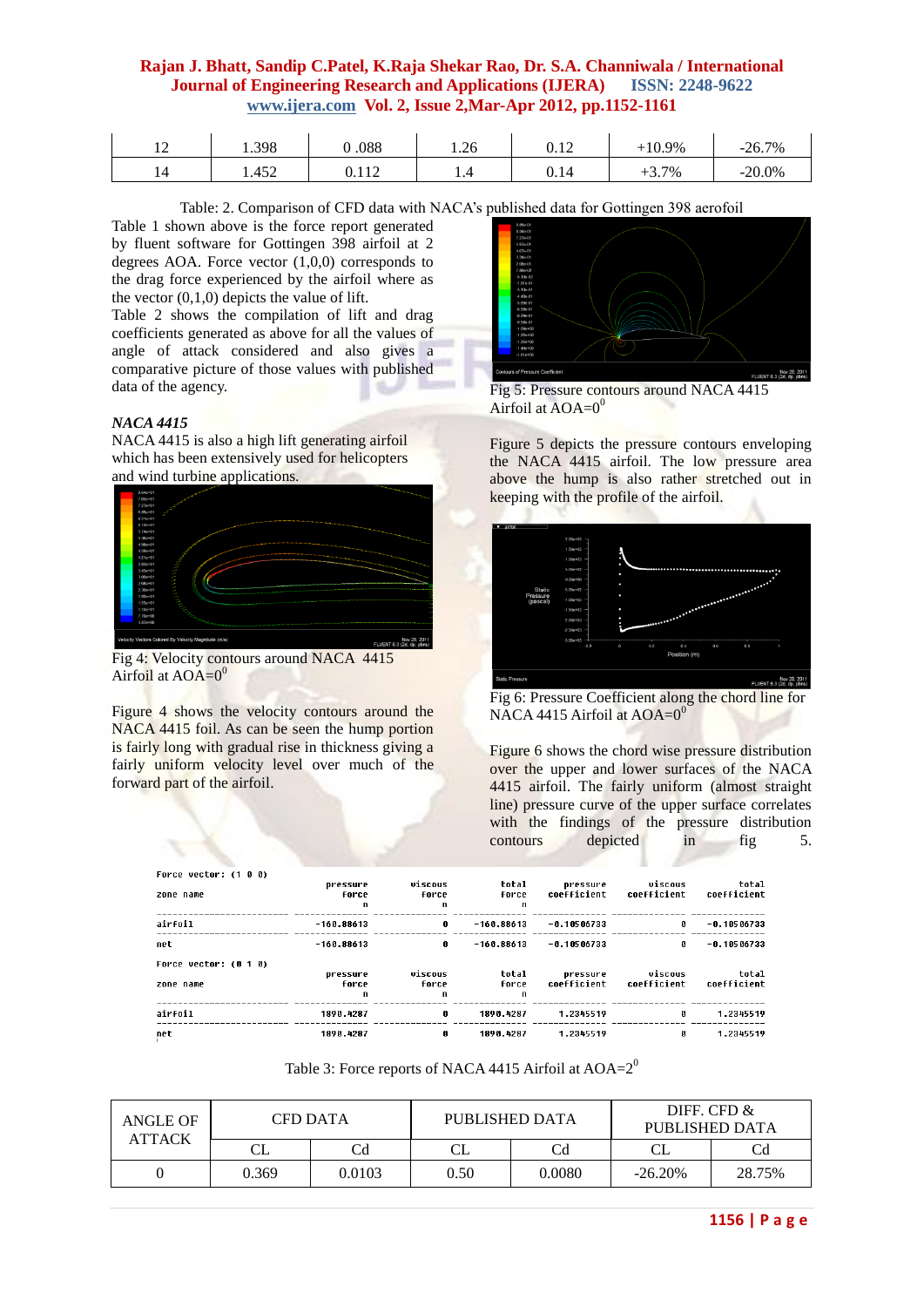| <b>I</b> 4 | 1.398 | 088 C          | 1.26 | 0.12 | $-10.9\%$ | $-26.7\%$ |
|------------|-------|----------------|------|------|-----------|-----------|
| ا 4        | 1.452 | 110<br>0. I 12 | .    | 0.14 | $+3.7%$   | $-20.0\%$ |

Table: 2. Comparison of CFD data with NACA's published data for Gottingen 398 aerofoil

Table 1 shown above is the force report generated by fluent software for Gottingen 398 airfoil at 2 degrees AOA. Force vector (1,0,0) corresponds to the drag force experienced by the airfoil where as the vector  $(0,1,0)$  depicts the value of lift.

Table 2 shows the compilation of lift and drag coefficients generated as above for all the values of angle of attack considered and also gives a comparative picture of those values with published data of the agency.

#### *NACA 4415*

NACA 4415 is also a high lift generating airfoil which has been extensively used for helicopters and wind turbine applications.



Fig 4: Velocity contours around NACA 4415 Airfoil at  $AOA=0$ <sup>0</sup>

Figure 4 shows the velocity contours around the NACA 4415 foil. As can be seen the hump portion is fairly long with gradual rise in thickness giving a fairly uniform velocity level over much of the forward part of the airfoil.



Fig 5: Pressure contours around NACA 4415 Airfoil at  $AOA=0^0$ 

Figure 5 depicts the pressure contours enveloping the NACA 4415 airfoil. The low pressure area above the hump is also rather stretched out in keeping with the profile of the airfoil.



Fig 6: Pressure Coefficient along the chord line for NACA 4415 Airfoil at  $AOA=0$ <sup>0</sup>

Figure 6 shows the chord wise pressure distribution over the upper and lower surfaces of the NACA 4415 airfoil. The fairly uniform (almost straight line) pressure curve of the upper surface correlates with the findings of the pressure distribution contours depicted in fig 5.

| Force vector: (1 0 0) |              |         |              |               |             |               |
|-----------------------|--------------|---------|--------------|---------------|-------------|---------------|
|                       | pressure     | viscous | total        | pressure      | viscous     | total         |
| zone name             | force        | force   | force        | coefficient   | coefficient | coefficient   |
|                       | n            | n       | n            |               |             |               |
| airfoil               | $-160.88613$ | ø       | $-160.88613$ | $-0.10506733$ | ø           | $-0.10506733$ |
| net                   | $-160.88613$ | 0       | $-160.88613$ | $-0.10506733$ | п           | $-0.10506733$ |
| Force vector: (0 1 0) |              |         |              |               |             |               |
|                       | pressure     | viscous | total        | pressure      | viscous     | total         |
| zone name             | force        | force   | force        | coefficient   | coefficient | coefficient   |
|                       | n            | n       | n            |               |             |               |
| airfoil               | 1890.4287    | Ø       | 1890.4287    | 1.2345519     | п           | 1.2345519     |
| net                   | 1890.4287    | Ø       | 1890.4287    | 1.2345519     | ø           | 1.2345519     |

Table 3: Force reports of NACA 4415 Airfoil at  $AOA=2^0$ 

| ANGLE OF<br><b>ATTACK</b> | CFD DATA |        | PUBLISHED DATA |        | DIFF. CFD $\&$<br>PUBLISHED DATA |        |  |
|---------------------------|----------|--------|----------------|--------|----------------------------------|--------|--|
|                           | СL       | Cd     |                | Cd     | $\cap$ I                         |        |  |
|                           | 0.369    | 0.0103 | 0.50           | 0.0080 | $-26.20%$                        | 28.75% |  |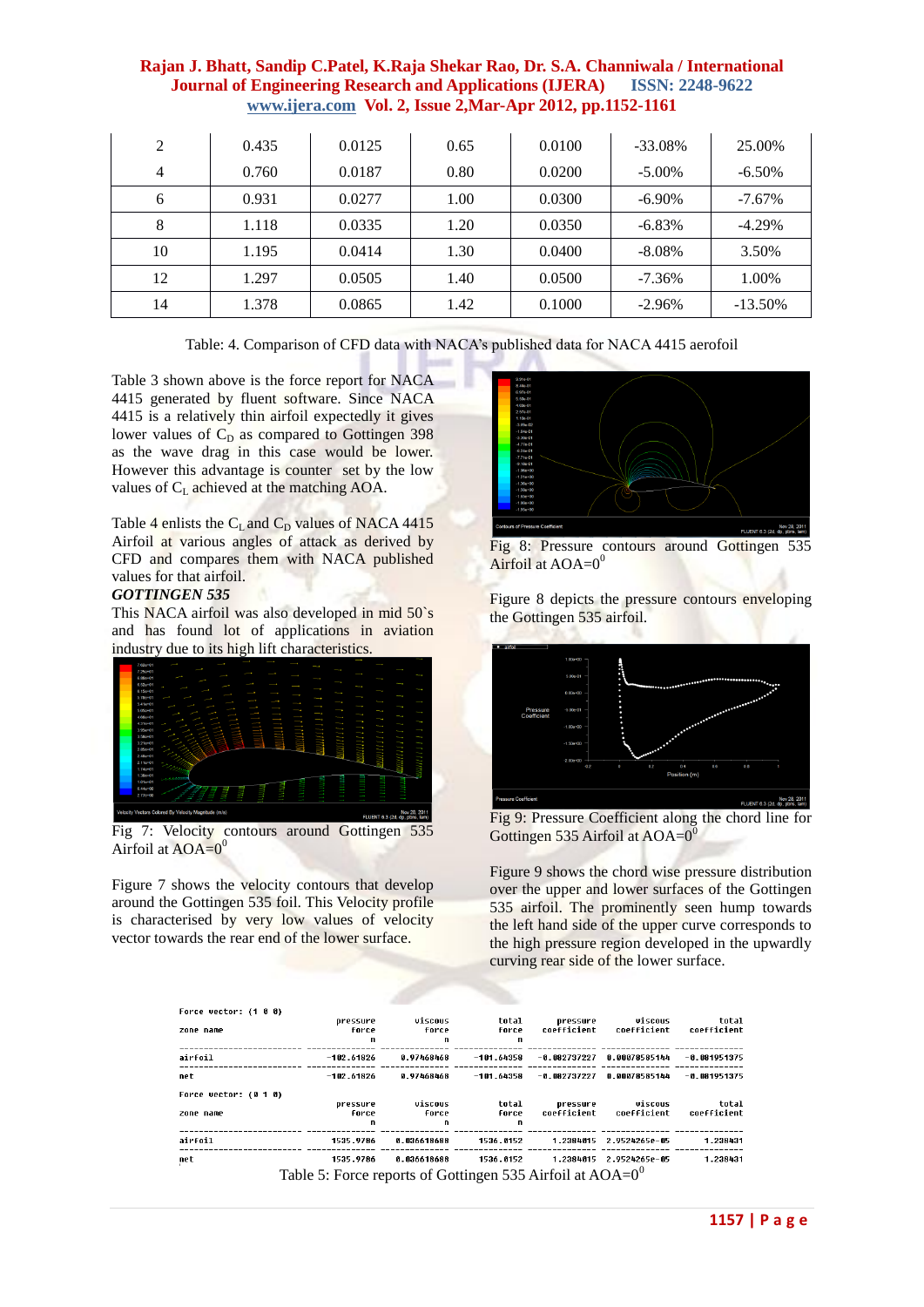| 2  | 0.435 | 0.0125 | 0.65 | 0.0100 | $-33.08\%$ | 25.00%     |
|----|-------|--------|------|--------|------------|------------|
| 4  | 0.760 | 0.0187 | 0.80 | 0.0200 | $-5.00\%$  | $-6.50\%$  |
| 6  | 0.931 | 0.0277 | 1.00 | 0.0300 | $-6.90\%$  | $-7.67\%$  |
| 8  | 1.118 | 0.0335 | 1.20 | 0.0350 | $-6.83\%$  | $-4.29\%$  |
| 10 | 1.195 | 0.0414 | 1.30 | 0.0400 | $-8.08\%$  | 3.50%      |
| 12 | 1.297 | 0.0505 | 1.40 | 0.0500 | $-7.36\%$  | 1.00%      |
| 14 | 1.378 | 0.0865 | 1.42 | 0.1000 | $-2.96%$   | $-13.50\%$ |

Table: 4. Comparison of CFD data with NACA's published data for NACA 4415 aerofoil

Table 3 shown above is the force report for NACA 4415 generated by fluent software. Since NACA 4415 is a relatively thin airfoil expectedly it gives lower values of  $C_D$  as compared to Gottingen 398 as the wave drag in this case would be lower. However this advantage is counter set by the low values of  $C_{\text{L}}$  achieved at the matching AOA.

Table 4 enlists the  $C_L$  and  $C_D$  values of NACA 4415 Airfoil at various angles of attack as derived by CFD and compares them with NACA published values for that airfoil.

#### *GOTTINGEN 535*

This NACA airfoil was also developed in mid 50`s and has found lot of applications in aviation industry due to its high lift characteristics.



Fig 7: Velocity contours around Gottingen 535 Airfoil at  $AOA=0^0$ 

Figure 7 shows the velocity contours that develop around the Gottingen 535 foil. This Velocity profile is characterised by very low values of velocity vector towards the rear end of the lower surface.



Fig 8: Pressure contours around Gottingen 535 Airfoil at  $AOA=0<sup>0</sup>$ 

Figure 8 depicts the pressure contours enveloping the Gottingen 535 airfoil.



Fig 9: Pressure Coefficient along the chord line for Gottingen 535 Airfoil at  $AOA=0^0$ 

Figure 9 shows the chord wise pressure distribution over the upper and lower surfaces of the Gottingen 535 airfoil. The prominently seen hump towards the left hand side of the upper curve corresponds to the high pressure region developed in the upwardly curving rear side of the lower surface.

| Force vector: (1 0 0) |                                                              |             |                       |                         |                         |                     |
|-----------------------|--------------------------------------------------------------|-------------|-----------------------|-------------------------|-------------------------|---------------------|
|                       | pressure                                                     | viscous     | total                 | pressure<br>coefficient | viscous<br>coefficient  | tota)<br>coefficien |
| zone name             | force<br>n                                                   | force<br>n  | force<br>$\mathbf{r}$ |                         |                         |                     |
|                       |                                                              |             |                       |                         |                         |                     |
| airfoil               | $-102.61826$                                                 | 0.97468468  | $-101.64358$          | -0 082737227            | 8.00078585144           | $-0.08195137$       |
| net                   | $-102.61826$                                                 | 0.97468468  | $-101.64358$          | $-0.082737227$          | 8.88878585144           | $-0.08195137$       |
| Force vector: (0 1 0) |                                                              |             |                       |                         |                         |                     |
|                       | pressure                                                     | viscous     | total                 | pressure                | viscous                 | tota:               |
| zone name             | force                                                        | force       | force                 | coefficient             | coefficient             | coefficien          |
|                       | n                                                            | n           | n                     |                         |                         |                     |
| airfoil               | 1535.9786                                                    | 8.836618688 | 1536.0152             |                         | 1.2384015 2.9524265e-05 | 1.23843             |
| net                   | 1535.9786                                                    | 8.836618688 | 1536.0152             | 1.2384015               | 2.9524265e-05           | 1.23843             |
|                       | Table 5: Force reports of Gottingen 535 Airfoil at $AOA=0^0$ |             |                       |                         |                         |                     |
|                       |                                                              |             |                       |                         |                         |                     |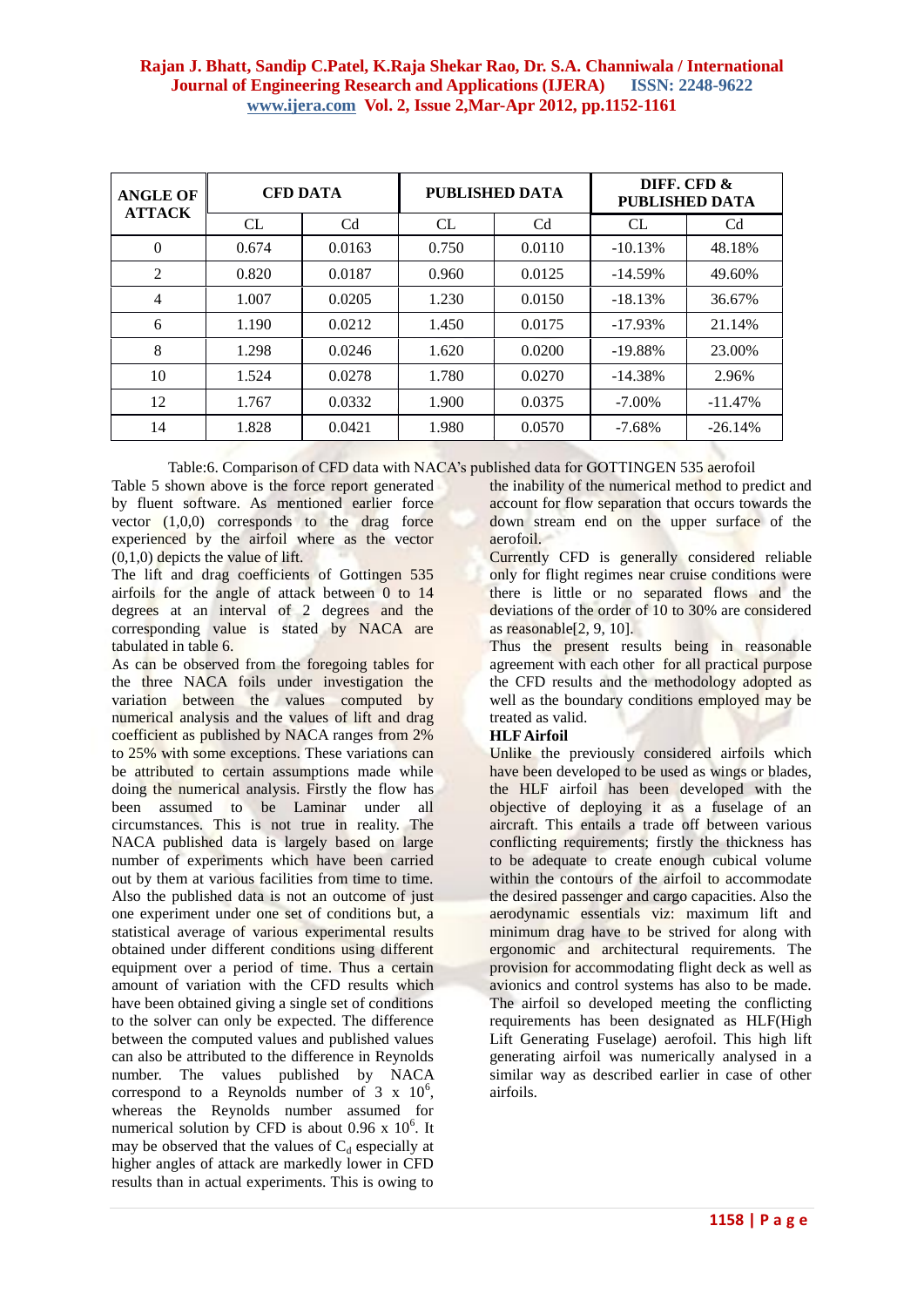| <b>ANGLE OF</b><br><b>ATTACK</b> | <b>CFD DATA</b> |                |       | PUBLISHED DATA | DIFF. CFD &<br>PUBLISHED DATA |                |
|----------------------------------|-----------------|----------------|-------|----------------|-------------------------------|----------------|
|                                  | CL              | C <sub>d</sub> | CL    | Cd             | CL                            | C <sub>d</sub> |
| $\theta$                         | 0.674           | 0.0163         | 0.750 | 0.0110         | $-10.13%$                     | 48.18%         |
| $\overline{c}$                   | 0.820           | 0.0187         | 0.960 | 0.0125         | $-14.59\%$                    | 49.60%         |
| $\overline{4}$                   | 1.007           | 0.0205         | 1.230 | 0.0150         | $-18.13%$                     | 36.67%         |
| 6                                | 1.190           | 0.0212         | 1.450 | 0.0175         | $-17.93\%$                    | 21.14%         |
| 8                                | 1.298           | 0.0246         | 1.620 | 0.0200         | $-19.88%$                     | 23.00%         |
| 10                               | 1.524           | 0.0278         | 1.780 | 0.0270         | $-14.38%$                     | 2.96%          |
| 12                               | 1.767           | 0.0332         | 1.900 | 0.0375         | $-7.00\%$                     | $-11.47%$      |
| 14                               | 1.828           | 0.0421         | 1.980 | 0.0570         | $-7.68\%$                     | $-26.14%$      |

Table:6. Comparison of CFD data with NACA's published data for GOTTINGEN 535 aerofoil

Table 5 shown above is the force report generated by fluent software. As mentioned earlier force vector  $(1,0,0)$  corresponds to the drag force experienced by the airfoil where as the vector (0,1,0) depicts the value of lift.

The lift and drag coefficients of Gottingen 535 airfoils for the angle of attack between 0 to 14 degrees at an interval of 2 degrees and the corresponding value is stated by NACA are tabulated in table 6.

As can be observed from the foregoing tables for the three NACA foils under investigation the variation between the values computed by numerical analysis and the values of lift and drag coefficient as published by NACA ranges from 2% to 25% with some exceptions. These variations can be attributed to certain assumptions made while doing the numerical analysis. Firstly the flow has been assumed to be Laminar under all circumstances. This is not true in reality. The NACA published data is largely based on large number of experiments which have been carried out by them at various facilities from time to time. Also the published data is not an outcome of just one experiment under one set of conditions but, a statistical average of various experimental results obtained under different conditions using different equipment over a period of time. Thus a certain amount of variation with the CFD results which have been obtained giving a single set of conditions to the solver can only be expected. The difference between the computed values and published values can also be attributed to the difference in Reynolds number. The values published by NACA correspond to a Reynolds number of  $3 \times 10^6$ , whereas the Reynolds number assumed for numerical solution by CFD is about 0.96 x  $10^6$ . It may be observed that the values of  $C_d$  especially at higher angles of attack are markedly lower in CFD results than in actual experiments. This is owing to

the inability of the numerical method to predict and account for flow separation that occurs towards the down stream end on the upper surface of the aerofoil.

Currently CFD is generally considered reliable only for flight regimes near cruise conditions were there is little or no separated flows and the deviations of the order of 10 to 30% are considered as reasonable[2, 9, 10].

Thus the present results being in reasonable agreement with each other for all practical purpose the CFD results and the methodology adopted as well as the boundary conditions employed may be treated as valid.

## **HLF Airfoil**

Unlike the previously considered airfoils which have been developed to be used as wings or blades, the HLF airfoil has been developed with the objective of deploying it as a fuselage of an aircraft. This entails a trade off between various conflicting requirements; firstly the thickness has to be adequate to create enough cubical volume within the contours of the airfoil to accommodate the desired passenger and cargo capacities. Also the aerodynamic essentials viz: maximum lift and minimum drag have to be strived for along with ergonomic and architectural requirements. The provision for accommodating flight deck as well as avionics and control systems has also to be made. The airfoil so developed meeting the conflicting requirements has been designated as HLF(High Lift Generating Fuselage) aerofoil. This high lift generating airfoil was numerically analysed in a similar way as described earlier in case of other airfoils.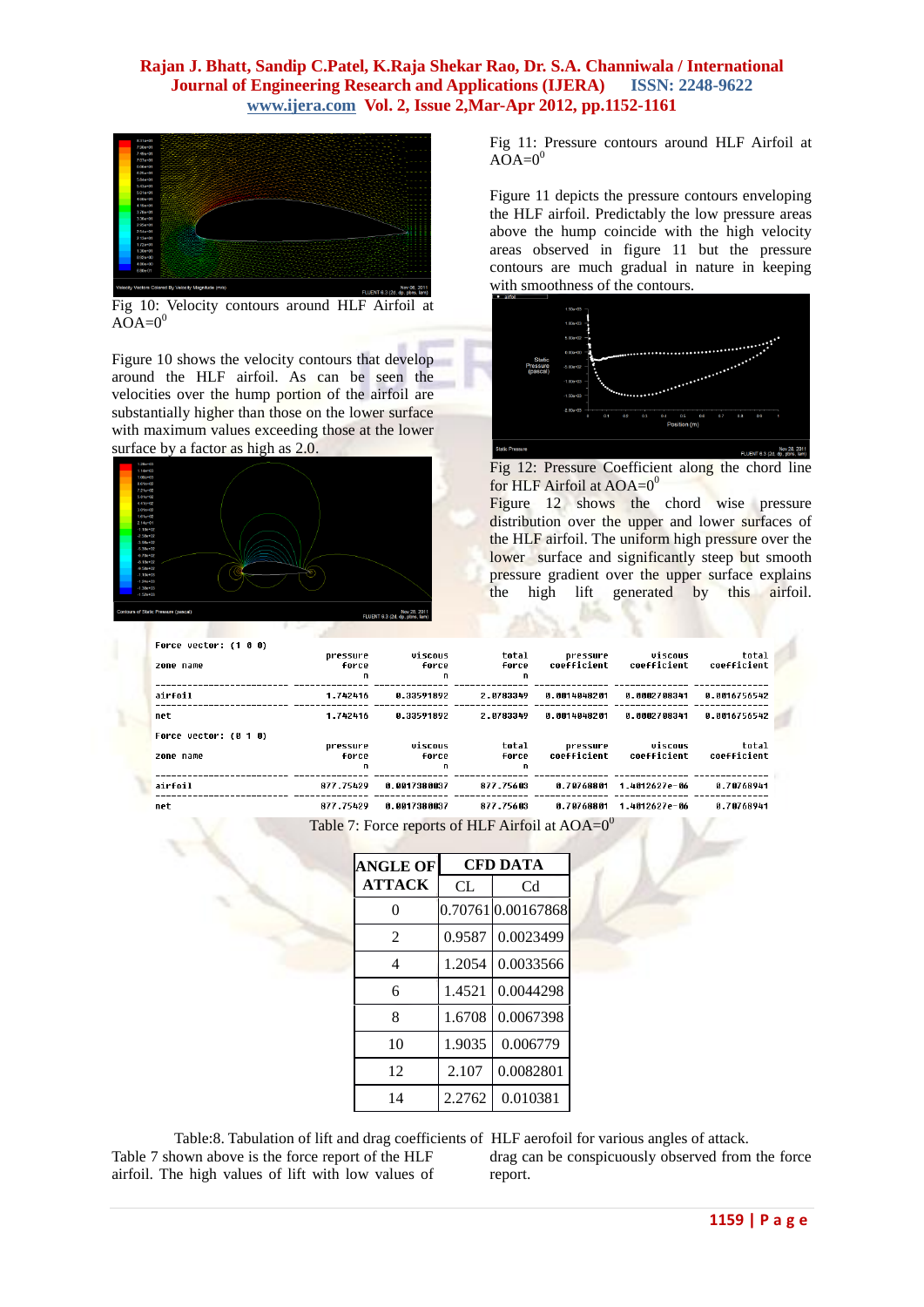

Fig 10: Velocity contours around HLF Airfoil at  $A\overline{O}A=0^0$ 

Figure 10 shows the velocity contours that develop around the HLF airfoil. As can be seen the velocities over the hump portion of the airfoil are substantially higher than those on the lower surface with maximum values exceeding those at the lower surface by a factor as high as  $2.0$ .



Fig 11: Pressure contours around HLF Airfoil at  $AOA=0<sup>0</sup>$ 

Figure 11 depicts the pressure contours enveloping the HLF airfoil. Predictably the low pressure areas above the hump coincide with the high velocity areas observed in figure 11 but the pressure contours are much gradual in nature in keeping with smoothness of the contours.



Fig 12: Pressure Coefficient along the chord line for HLF Airfoil at  $AOA=0^0$ 

Figure 12 shows the chord wise pressure distribution over the upper and lower surfaces of the HLF airfoil. The uniform high pressure over the lower surface and significantly steep but smooth pressure gradient over the upper surface explains the high lift generated by this airfoil.

| Force vector: (1 0 0) |                   |                  |                |                         |                        |                      |
|-----------------------|-------------------|------------------|----------------|-------------------------|------------------------|----------------------|
| zone name             | pressure<br>force | viscous<br>Force | total<br>force | pressure<br>coefficient | viscous<br>coefficient | total<br>coefficient |
|                       | n                 | n.               | n              |                         |                        |                      |
| airfoil               | 1.742416          | 8.33591892       | 2.0783349      | 0.0014048201            | 0.0002708341           | 8.0016756542         |
| net                   | 1.742416          | 8.33591892       | 2.0783349      | 0.0014048201            | 8.8882788341           | 8.8816756542         |
| Force vector: (0 1 0) |                   |                  |                |                         |                        |                      |
| zone name             | pressure<br>force | viscous<br>force | total<br>force | pressure<br>coefficient | viscous<br>coefficient | total<br>coefficient |
|                       | n                 | n                | n              |                         |                        |                      |
| airfoil               | 877.75429         | 0.0017380037     | 877.75603      | 0.70768801              | 1.4012627e-06          | 0.70768941           |
| net                   | 877.75429         | 8.8817388837     | 877.75603      | 8.78768881              | 1.4012627e-06          | 8.78768941           |

Table 7: Force reports of HLF Airfoil at  $AOA=0^0$ 

| <b>ANGLE OF</b> | <b>CFD DATA</b> |                   |  |
|-----------------|-----------------|-------------------|--|
| <b>ATTACK</b>   | CL.             | Cd                |  |
| 0               |                 | 0.707610.00167868 |  |
| $\mathfrak{D}$  | 0.9587          | 0.0023499         |  |
| 4               | 1.2054          | 0.0033566         |  |
| 6               | 1.4521          | 0.0044298         |  |
| 8               | 1.6708          | 0.0067398         |  |
| 10              | 1.9035          | 0.006779          |  |
| 12              | 2.107           | 0.0082801         |  |
| 14              | 2.2762          | 0.010381          |  |

Table 7 shown above is the force report of the HLF airfoil. The high values of lift with low values of

Table:8. Tabulation of lift and drag coefficients of HLF aerofoil for various angles of attack.

drag can be conspicuously observed from the force report.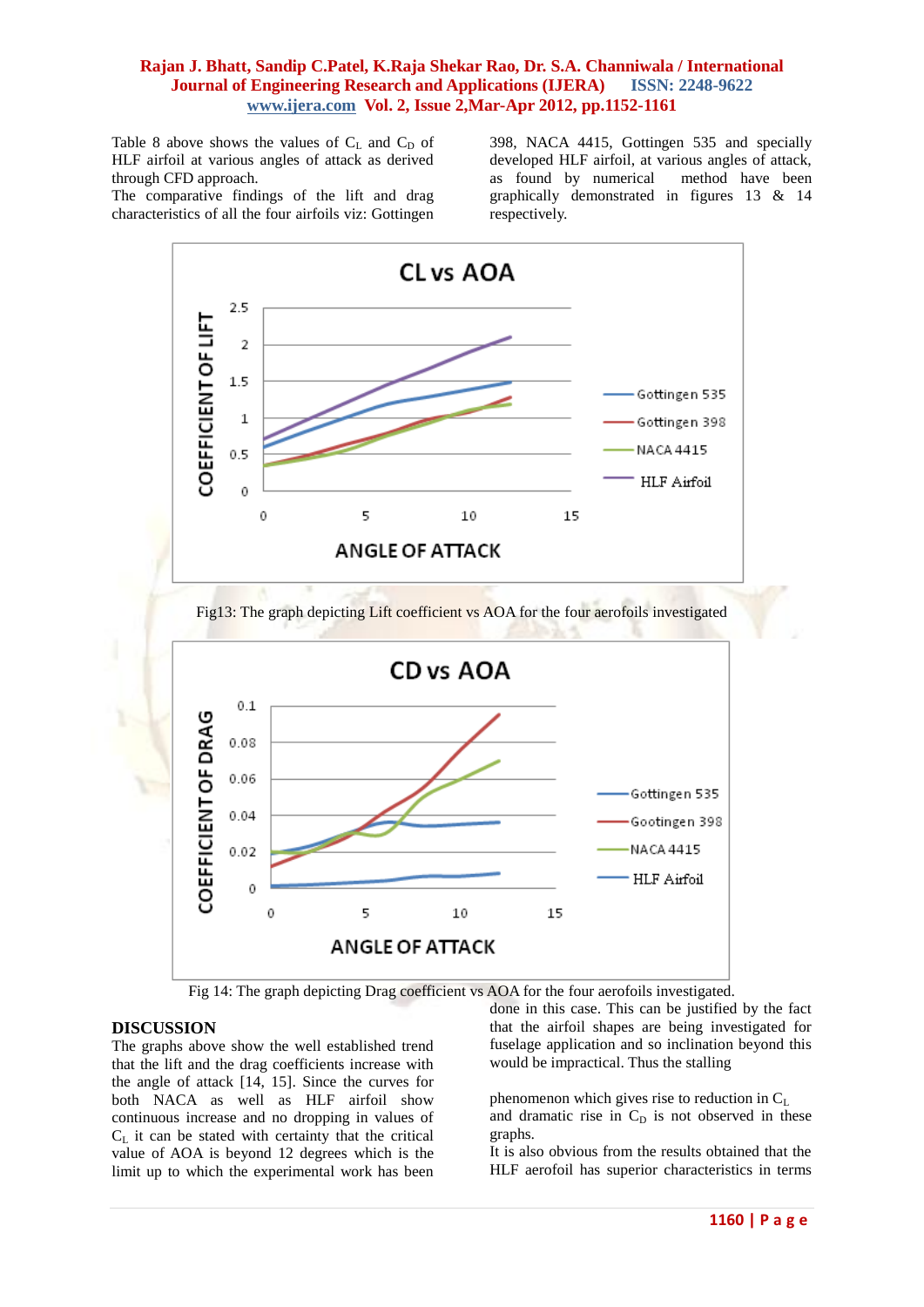Table 8 above shows the values of  $C_L$  and  $C_D$  of HLF airfoil at various angles of attack as derived through CFD approach.

The comparative findings of the lift and drag characteristics of all the four airfoils viz: Gottingen

398, NACA 4415, Gottingen 535 and specially developed HLF airfoil, at various angles of attack, as found by numerical method have been graphically demonstrated in figures 13 & 14 respectively.





#### **DISCUSSION**

The graphs above show the well established trend that the lift and the drag coefficients increase with the angle of attack [14, 15]. Since the curves for both NACA as well as HLF airfoil show continuous increase and no dropping in values of  $C_{\text{L}}$  it can be stated with certainty that the critical value of AOA is beyond 12 degrees which is the limit up to which the experimental work has been done in this case. This can be justified by the fact that the airfoil shapes are being investigated for fuselage application and so inclination beyond this would be impractical. Thus the stalling

phenomenon which gives rise to reduction in  $C_L$ and dramatic rise in  $C_D$  is not observed in these graphs.

It is also obvious from the results obtained that the HLF aerofoil has superior characteristics in terms